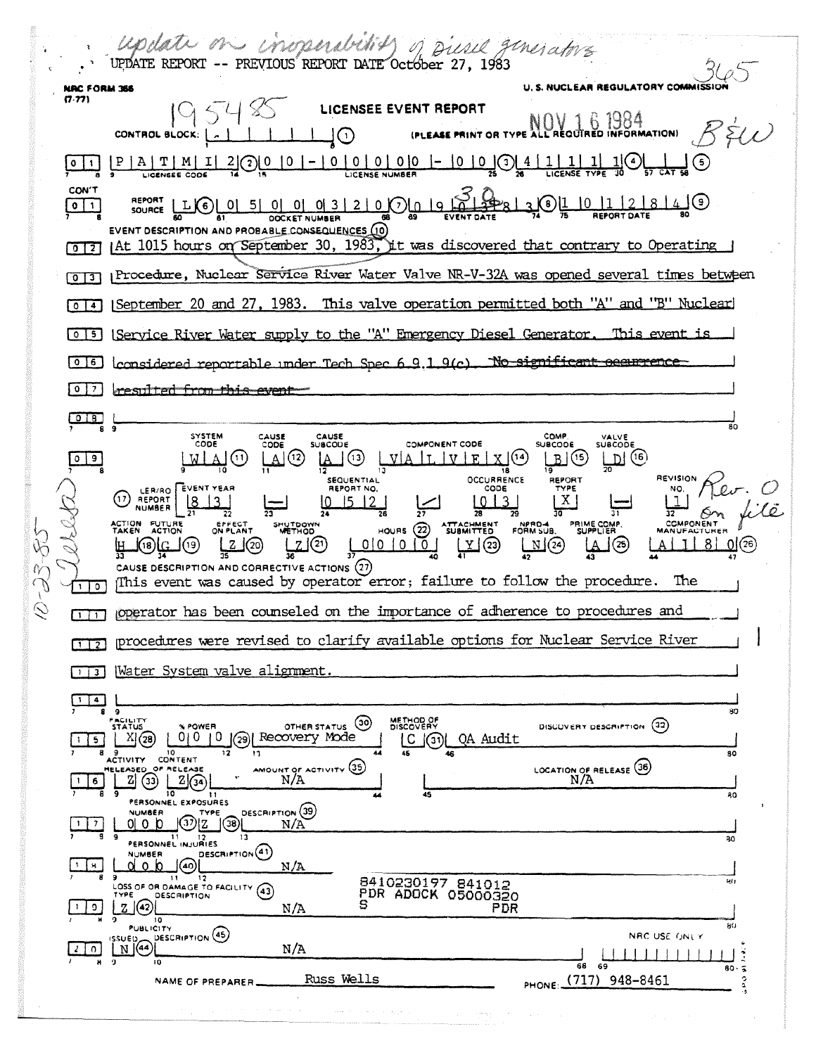Update on inoperablish of Diesel generators U. S. NUCLEAR REGULATORY COMMIS NRC FORM 366  $19548$  LICENSEE EVENT REPORT  $(7.77)$ (PLEASE PRINT OR TYPE ALL REQUIRED INFORMATION)  $B\forall\omega$ CONTROL BLOCK:  $\begin{bmatrix} -1 & 1 & 1 & 1 & 1 \end{bmatrix}$  $\underbrace{[0\ 1\ 1}_{\text{LCENSE}}\underbrace{[P\ 1\ 1\ 1\ 1}_{\text{LCENSE}}\underbrace{[0\ 1\ 2}_{\text{COS}}] \textcircled{[0\ 1\ 0\ 1\ 0\ 1\ 0\ 1\ 0\ 1\ 0\ 1\ 0\ 1\ 0\ 1\ 0\ 1\ 0\ 1\ 0\ 1\ 0\ 1\ 0\ 1\ 0\ 1\ 0\ 1\ 0\ 1\ 0\ 1\ 0\ 1\ 0\ 1\ 0\ 1\ 0\ 1\ 0\ 1\ 0\ 1\ 0\ 1\ 0\$ CON'T **REPORT LLG** 0 5 0 0 0 3 2 0 0 0 9 9 9 2 0 1 1 2 3 0 1 1 2 8 4 0  $\boxed{0}$ EVENT DESCRIPTION AND PROBABLE CONSEQUENCES (10) [0] [3] [At 1015 hours on September 30, 1983, it was discovered that contrary to Operating [0]3] Procedure, Nuclear Service River Water Valve NR-V-32A was opened several times between [0]4] [September 20 and 27, 1983. This valve operation permitted both "A" and "B" Nuclear [0] 5] [Service River Water supply to the "A" Emergency Diesel Generator. This event is 006 considered reportable under Tech Spec 6.9.1.9(c). No significant occurrence 0 7 resulted from this event  $\begin{array}{c}\n\begin{array}{c}\n\text{or} \\
\text{or} \\
\text{or} \\
\text{or} \\
\end{array}\n\end{array}$ SYSTEM<br>CODE CAUSE<br>CODE CAUSE<br>SUBCODE COMP.<br>SUBCODE VALVE<br>SUBCODE COMPONENT CODE று (6)  $\sqrt{e}$  $B(5)$ (MIAC)  $A(3)$  $\left( 13\right)$ \_V | A  $\begin{array}{c|c|c|c|c} \hline \text{I} & \text{I} & \text{V} & \text{E} & \text{X} & \end{array}$ ŦŘ. SEQUENTIAL **OCCURRENCE** REVISION REPORT LER/RO EVENT YEAR REPORT NO. CODE NO. (17) REPORT  $X<sub>1</sub>$  $813$  $|0|$  15 12  $\mathbb{1}$  $\begin{array}{c|c} 0 & 3 \end{array}$ NPRO-4 **ACTION FUTURE**<br>TAKEN ACTION HUTDOWN<br>METHOD PRIME COMP.<br>SUPPLIER HOURS  $(22)$ SUBMITTED  $10101010$  $\overline{\Box}$ 2  $\mu$  3  $Z(\overline{20})$ <u> 21ව</u>  $A \mid 1 \mid 8 \mid 0$  (26) ු(25)  $\mathfrak{g}_{\left( \mathrm{is}\right) }$  (c J(19) CAUSE DESCRIPTION AND CORRECTIVE ACTIONS (27) This event was caused by operator error; failure to follow the procedure. The  $110$ operator has been counseled on the importance of adherence to procedures and  $\Box$ procedures were revised to clarify available options for Nuclear Service River  $\sqrt{1}$ 113 Water System valve alignment. OTHER STATUS 30 METHOD OF DISCOVERY DESCRIPTION (32) **X POWER** 0|0 |0 |0 |3 Recovery Mode C (31) QA Audit  $X(28)$ CTIVITY CONTENT AMOUNT OF ACTIVITY  $\frac{35}{N/A}$ LOCATION OF RELEASE (36)  $\overline{B}$   $\overline{B}$  $Z(\overline{3})$  $1 | 6 |$ 80 PERSONNEL EXPOSURES DESCRIPTION (39) **NUMBER** <u>ුමැටීමැ</u>  $1$  |  $7$  |  $0100$  $N/A$ PERSONNEL INJURIES  $\overline{11}$ DESCRIPTION<sup>(41)</sup> **NUMBER** ၂@[  $\lceil \mathbf{s} \rceil$ <u>d o b</u>  $N/A$ 8410230197 841012  $\overline{\mathbf{12}}$ OSS OF OR DAMAGE TO FACILITY (43) <sup>YPE</sup> (42)[  $|0|$ PDR  $N/A$  $\overline{10}$ **PUBLICITY** ISSUED DESCRIPTION (45) NRC USE ONLY  $2 \mid 0$  $N/A$ <u>| | | | | | |</u> PHONE: (717) 948-8461 Russ Wells NAME OF PREPARER.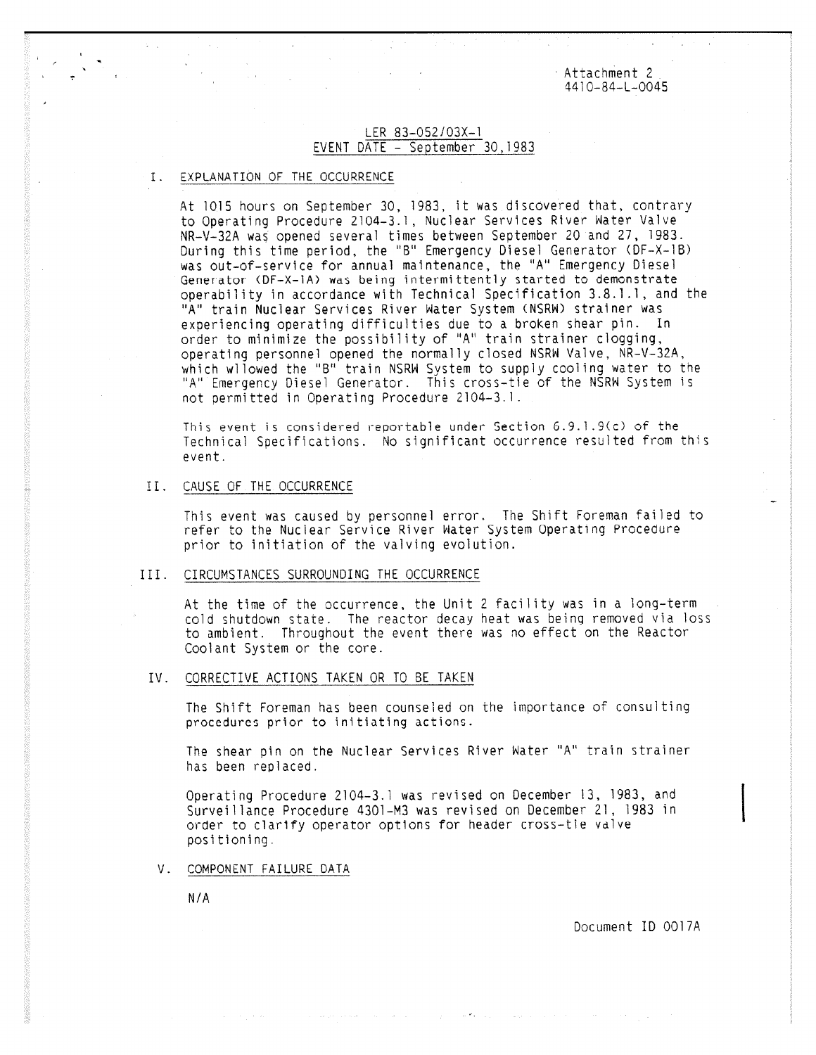Attachment 2 4410-84-L-0045

## LER 83-052/03X-1 EVENT DATE - September 30,1983

## I. EXPLANATION OF THE OCCURRENCE

At 1015 hours on September 30, 1983, it was discovered that, contrary to Operating Procedure 2104-3.1, Nuclear Services River Water Valve NR-V-32A was opened several times between September 20 and 27, 1983. During this time period, the "B" Emergency Diesel Generator (DF-X-1B) was out-of-service for annual maintenance, the "A" Emergency Diesel Generator (DF-X-1A) was being intermittently started to demonstrate operability in accordance with Technical Specification 3.8.1.1, and the "A" train Nuclear Services River Water System (NSRW) strainer was experiencing operating difficulties due to a broken shear pin. In order to minimize the possibility of "A" train strainer clogging, operating personnel opened the normally closed NSRW Valve, NR-V-32A, which wllowed the "B" train NSRW System to supply cooling water to the "A" Emergency Diesel Generator. This cross-tie of the NSRW System is not permitted in Operating Procedure 2104-3.1.

This event is considered reportable under Section 6.9.1.9(c) of the Technical Specifications. No significant occurrence resulted from this event.

### II. CAUSE OF THE OCCURRENCE

This event was caused by personnel error. The Shift Foreman failed to refer to the Nuclear Service River Water System Operating Procedure prior to initiation of the valving evolution.

#### III. CIRCUMSTANCES SURROUNDING THE OCCURRENCE

At the time of the occurrence, the Unit 2 facility was in a long-term cold shutdown state. The reactor decay heat was being removed via loss to ambient. Throughout the event there was no effect on the Reactor Coolant System or the core.

## IV. CORRECTIVE ACTIONS TAKEN OR TO BE TAKEN

The Shift Foreman has been counseled on the importance of consulting procedures prior to initiating actions.

The shear pin on the Nuclear Services River Water "A" train strainer has been replaced.

Operating Procedure 2104-3.1 was revised on December 13, 1983, and Surveillance Procedure 4301-M3 was revised on December 21, 1983 in order to clarify operator options for header cross-tie valve positioning.

V. COMPONENT FAILURE DATA

N/A

Document ID 0017A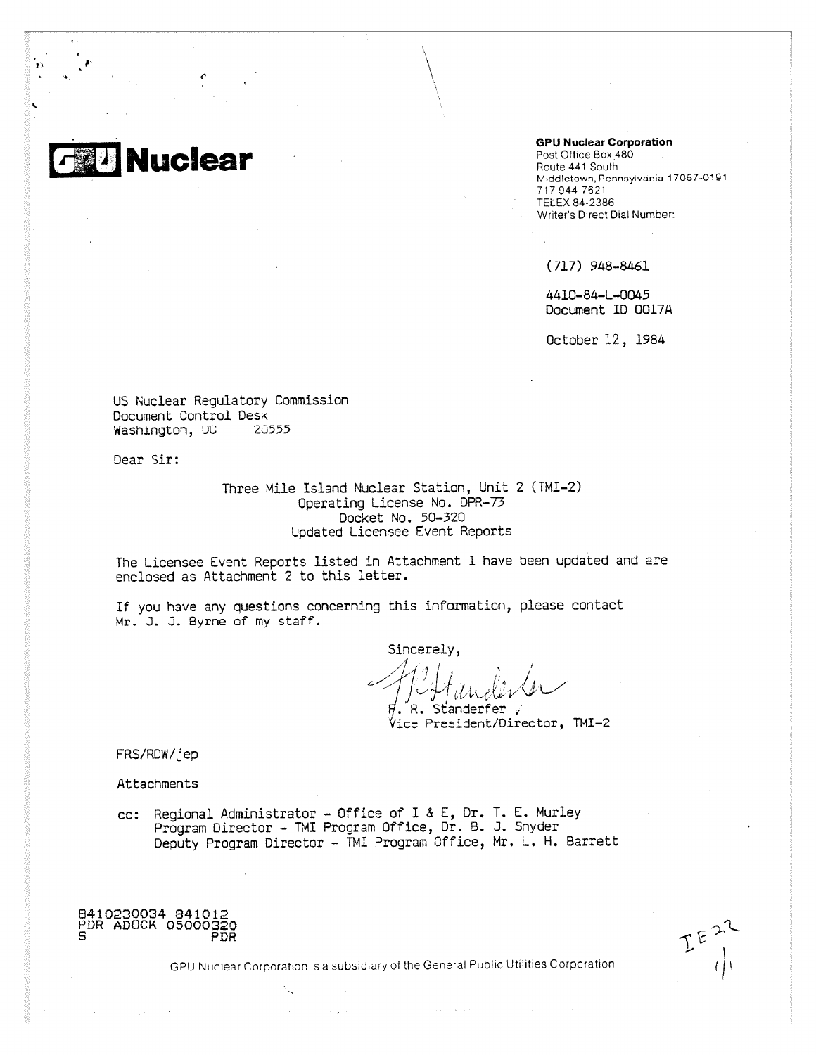**GolU Nuclear**

**GPU Nuclear Corporation**

Post Office Box<sub>480</sub> Route 441 South Middletown, Pennsylvania 17057-0191 717 944-7621 • TELEX 84-2386 Writer's Direct Dial Number:

(717) 948-8461

4410-84-L-0045 Document ID 0017A

October 12, 1984

US Nuclear Regulatory Commission Document Control Desk Washington, DC 20555

Dear Sir:

Three Mile Island Nuclear Station, Unit 2 (TMI-2) Operating License No. DPR-73 Docket No. 50-320 Updated Licensee Event Reports

The Licensee Event Reports listed in Attachment I have been updated and are enclosed as Attachment 2 to this letter.

If you have any questions concerning this information, please contact Mr. J. J. Byrne of my staff.

Sincerely,

. R. Standerfer / Vice President/Director, TMI-2

FRS/RDW/jep

Attachments

cc: Regional Administrator - Office of I & E, Dr. T. E. Murley Program Director - TMI Program Office, Dr. B. J. Snyder Deputy Program Director - TMI Program Office, Mr. L. H. Barrett

8410230034 841012 PDR ADOCK 05000320 PDR

GPI) Nuclear Cnrpnratinn is a subsidiary of the General Public Utilities Corporation